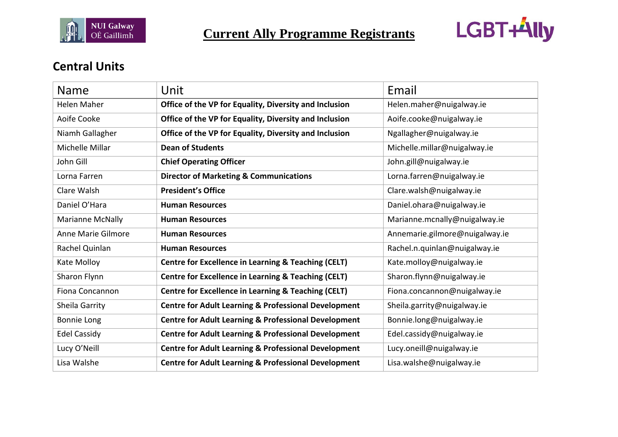



#### **Central Units**

| Name                | Unit                                                            | Email                          |
|---------------------|-----------------------------------------------------------------|--------------------------------|
| <b>Helen Maher</b>  | Office of the VP for Equality, Diversity and Inclusion          | Helen.maher@nuigalway.ie       |
| Aoife Cooke         | Office of the VP for Equality, Diversity and Inclusion          | Aoife.cooke@nuigalway.ie       |
| Niamh Gallagher     | Office of the VP for Equality, Diversity and Inclusion          | Ngallagher@nuigalway.ie        |
| Michelle Millar     | <b>Dean of Students</b>                                         | Michelle.millar@nuigalway.ie   |
| John Gill           | <b>Chief Operating Officer</b>                                  | John.gill@nuigalway.ie         |
| Lorna Farren        | <b>Director of Marketing &amp; Communications</b>               | Lorna.farren@nuigalway.ie      |
| Clare Walsh         | <b>President's Office</b>                                       | Clare.walsh@nuigalway.ie       |
| Daniel O'Hara       | <b>Human Resources</b>                                          | Daniel.ohara@nuigalway.ie      |
| Marianne McNally    | <b>Human Resources</b>                                          | Marianne.mcnally@nuigalway.ie  |
| Anne Marie Gilmore  | <b>Human Resources</b>                                          | Annemarie.gilmore@nuigalway.ie |
| Rachel Quinlan      | <b>Human Resources</b>                                          | Rachel.n.quinlan@nuigalway.ie  |
| Kate Molloy         | <b>Centre for Excellence in Learning &amp; Teaching (CELT)</b>  | Kate.molloy@nuigalway.ie       |
| Sharon Flynn        | Centre for Excellence in Learning & Teaching (CELT)             | Sharon.flynn@nuigalway.ie      |
| Fiona Concannon     | <b>Centre for Excellence in Learning &amp; Teaching (CELT)</b>  | Fiona.concannon@nuigalway.ie   |
| Sheila Garrity      | <b>Centre for Adult Learning &amp; Professional Development</b> | Sheila.garrity@nuigalway.ie    |
| Bonnie Long         | <b>Centre for Adult Learning &amp; Professional Development</b> | Bonnie.long@nuigalway.ie       |
| <b>Edel Cassidy</b> | <b>Centre for Adult Learning &amp; Professional Development</b> | Edel.cassidy@nuigalway.ie      |
| Lucy O'Neill        | <b>Centre for Adult Learning &amp; Professional Development</b> | Lucy.oneill@nuigalway.ie       |
| Lisa Walshe         | <b>Centre for Adult Learning &amp; Professional Development</b> | Lisa.walshe@nuigalway.ie       |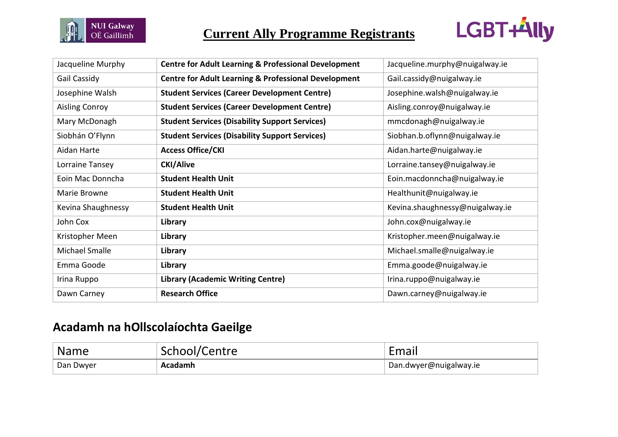



| Jacqueline Murphy     | <b>Centre for Adult Learning &amp; Professional Development</b> | Jacqueline.murphy@nuigalway.ie  |
|-----------------------|-----------------------------------------------------------------|---------------------------------|
| Gail Cassidy          | <b>Centre for Adult Learning &amp; Professional Development</b> | Gail.cassidy@nuigalway.ie       |
| Josephine Walsh       | <b>Student Services (Career Development Centre)</b>             | Josephine.walsh@nuigalway.ie    |
| <b>Aisling Conroy</b> | <b>Student Services (Career Development Centre)</b>             | Aisling.conroy@nuigalway.ie     |
| Mary McDonagh         | <b>Student Services (Disability Support Services)</b>           | mmcdonagh@nuigalway.ie          |
| Siobhán O'Flynn       | <b>Student Services (Disability Support Services)</b>           | Siobhan.b.oflynn@nuigalway.ie   |
| Aidan Harte           | <b>Access Office/CKI</b>                                        | Aidan.harte@nuigalway.ie        |
| Lorraine Tansey       | <b>CKI/Alive</b>                                                | Lorraine.tansey@nuigalway.ie    |
| Eoin Mac Donncha      | <b>Student Health Unit</b>                                      | Eoin.macdonncha@nuigalway.ie    |
| Marie Browne          | <b>Student Health Unit</b>                                      | Healthunit@nuigalway.ie         |
| Kevina Shaughnessy    | <b>Student Health Unit</b>                                      | Kevina.shaughnessy@nuigalway.ie |
| John Cox              | Library                                                         | John.cox@nuigalway.ie           |
| Kristopher Meen       | Library                                                         | Kristopher.meen@nuigalway.ie    |
| Michael Smalle        | Library                                                         | Michael.smalle@nuigalway.ie     |
| Emma Goode            | Library                                                         | Emma.goode@nuigalway.ie         |
| Irina Ruppo           | <b>Library (Academic Writing Centre)</b>                        | Irina.ruppo@nuigalway.ie        |
| Dawn Carney           | <b>Research Office</b>                                          | Dawn.carney@nuigalway.ie        |

# **Acadamh na hOllscolaíochta Gaeilge**

| Name      | School/Centre | -mail                  |
|-----------|---------------|------------------------|
| Dan Dwyer | Acadamh       | Dan.dwyer@nuigalway.ie |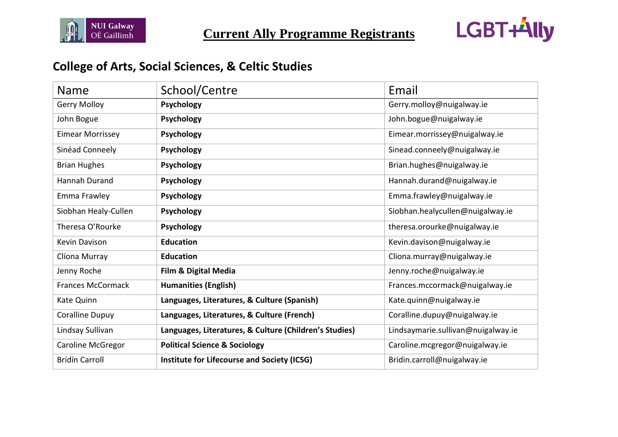



# **College of Arts, Social Sciences, & Celtic Studies**

| <b>Name</b>              | School/Centre                                          | Email                              |
|--------------------------|--------------------------------------------------------|------------------------------------|
| <b>Gerry Molloy</b>      | <b>Psychology</b>                                      | Gerry.molloy@nuigalway.ie          |
| John Bogue               | Psychology                                             | John.bogue@nuigalway.ie            |
| <b>Eimear Morrissey</b>  | Psychology                                             | Eimear.morrissey@nuigalway.ie      |
| Sinéad Conneely          | <b>Psychology</b>                                      | Sinead.conneely@nuigalway.ie       |
| <b>Brian Hughes</b>      | <b>Psychology</b>                                      | Brian.hughes@nuigalway.ie          |
| <b>Hannah Durand</b>     | <b>Psychology</b>                                      | Hannah.durand@nuigalway.ie         |
| Emma Frawley             | <b>Psychology</b>                                      | Emma.frawley@nuigalway.ie          |
| Siobhan Healy-Cullen     | <b>Psychology</b>                                      | Siobhan.healycullen@nuigalway.ie   |
| Theresa O'Rourke         | Psychology                                             | theresa.orourke@nuigalway.ie       |
| Kevin Davison            | <b>Education</b>                                       | Kevin.davison@nuigalway.ie         |
| Clíona Murray            | <b>Education</b>                                       | Cliona.murray@nuigalway.ie         |
| Jenny Roche              | <b>Film &amp; Digital Media</b>                        | Jenny.roche@nuigalway.ie           |
| <b>Frances McCormack</b> | <b>Humanities (English)</b>                            | Frances.mccormack@nuigalway.ie     |
| Kate Quinn               | Languages, Literatures, & Culture (Spanish)            | Kate.quinn@nuigalway.ie            |
| Coralline Dupuy          | Languages, Literatures, & Culture (French)             | Coralline.dupuy@nuigalway.ie       |
| Lindsay Sullivan         | Languages, Literatures, & Culture (Children's Studies) | Lindsaymarie.sullivan@nuigalway.ie |
| Caroline McGregor        | <b>Political Science &amp; Sociology</b>               | Caroline.mcgregor@nuigalway.ie     |
| <b>Brídín Carroll</b>    | Institute for Lifecourse and Society (ICSG)            | Bridin.carroll@nuigalway.ie        |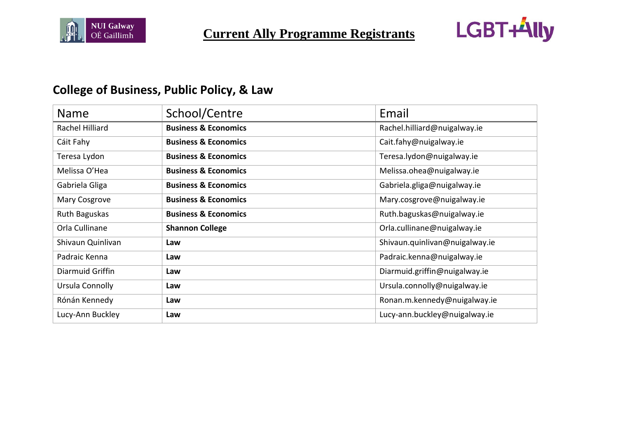



# **College of Business, Public Policy, & Law**

| <b>Name</b>       | School/Centre                   | Email                          |
|-------------------|---------------------------------|--------------------------------|
| Rachel Hilliard   | <b>Business &amp; Economics</b> | Rachel.hilliard@nuigalway.ie   |
| Cáit Fahy         | <b>Business &amp; Economics</b> | Cait.fahy@nuigalway.ie         |
| Teresa Lydon      | <b>Business &amp; Economics</b> | Teresa.lydon@nuigalway.ie      |
| Melissa O'Hea     | <b>Business &amp; Economics</b> | Melissa.ohea@nuigalway.ie      |
| Gabriela Gliga    | <b>Business &amp; Economics</b> | Gabriela.gliga@nuigalway.ie    |
| Mary Cosgrove     | <b>Business &amp; Economics</b> | Mary.cosgrove@nuigalway.ie     |
| Ruth Baguskas     | <b>Business &amp; Economics</b> | Ruth.baguskas@nuigalway.ie     |
| Orla Cullinane    | <b>Shannon College</b>          | Orla.cullinane@nuigalway.ie    |
| Shivaun Quinlivan | Law                             | Shivaun.quinlivan@nuigalway.ie |
| Padraic Kenna     | Law                             | Padraic.kenna@nuigalway.ie     |
| Diarmuid Griffin  | Law                             | Diarmuid.griffin@nuigalway.ie  |
| Ursula Connolly   | Law                             | Ursula.connolly@nuigalway.ie   |
| Rónán Kennedy     | Law                             | Ronan.m.kennedy@nuigalway.ie   |
| Lucy-Ann Buckley  | Law                             | Lucy-ann.buckley@nuigalway.ie  |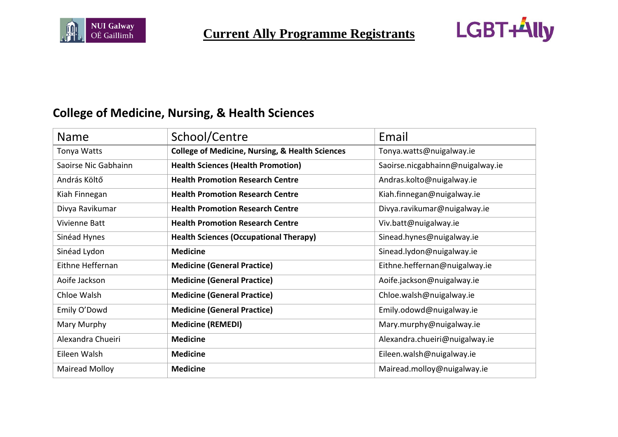



# **College of Medicine, Nursing, & Health Sciences**

| Name                 | School/Centre                                              | Email                            |
|----------------------|------------------------------------------------------------|----------------------------------|
| Tonya Watts          | <b>College of Medicine, Nursing, &amp; Health Sciences</b> | Tonya.watts@nuigalway.ie         |
| Saoirse Nic Gabhainn | <b>Health Sciences (Health Promotion)</b>                  | Saoirse.nicgabhainn@nuigalway.ie |
| András Költő         | <b>Health Promotion Research Centre</b>                    | Andras.kolto@nuigalway.ie        |
| Kiah Finnegan        | <b>Health Promotion Research Centre</b>                    | Kiah.finnegan@nuigalway.ie       |
| Divya Ravikumar      | <b>Health Promotion Research Centre</b>                    | Divya.ravikumar@nuigalway.ie     |
| Vivienne Batt        | <b>Health Promotion Research Centre</b>                    | Viv.batt@nuigalway.ie            |
| Sinéad Hynes         | <b>Health Sciences (Occupational Therapy)</b>              | Sinead.hynes@nuigalway.ie        |
| Sinéad Lydon         | <b>Medicine</b>                                            | Sinead.lydon@nuigalway.ie        |
| Eithne Heffernan     | <b>Medicine (General Practice)</b>                         | Eithne.heffernan@nuigalway.ie    |
| Aoife Jackson        | <b>Medicine (General Practice)</b>                         | Aoife.jackson@nuigalway.ie       |
| Chloe Walsh          | <b>Medicine (General Practice)</b>                         | Chloe.walsh@nuigalway.ie         |
| Emily O'Dowd         | <b>Medicine (General Practice)</b>                         | Emily.odowd@nuigalway.ie         |
| Mary Murphy          | <b>Medicine (REMEDI)</b>                                   | Mary.murphy@nuigalway.ie         |
| Alexandra Chueiri    | <b>Medicine</b>                                            | Alexandra.chueiri@nuigalway.ie   |
| Eileen Walsh         | <b>Medicine</b>                                            | Eileen.walsh@nuigalway.ie        |
| Mairead Molloy       | <b>Medicine</b>                                            | Mairead.molloy@nuigalway.ie      |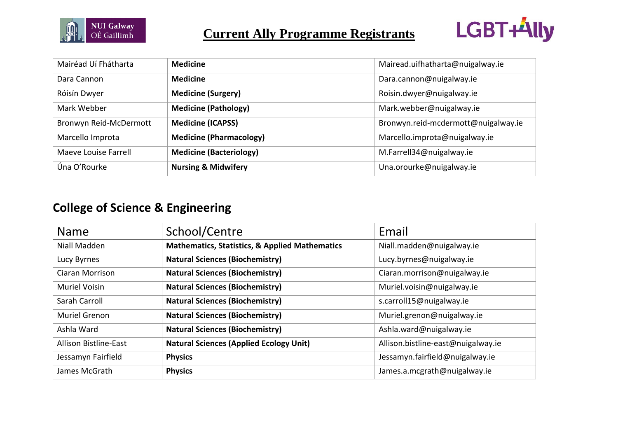



| Mairéad Uí Fhátharta   | <b>Medicine</b>                | Mairead.uifhatharta@nuigalway.ie    |
|------------------------|--------------------------------|-------------------------------------|
| Dara Cannon            | <b>Medicine</b>                | Dara.cannon@nuigalway.ie            |
| Róisín Dwyer           | <b>Medicine (Surgery)</b>      | Roisin.dwyer@nuigalway.ie           |
| Mark Webber            | <b>Medicine (Pathology)</b>    | Mark.webber@nuigalway.ie            |
| Bronwyn Reid-McDermott | <b>Medicine (ICAPSS)</b>       | Bronwyn.reid-mcdermott@nuigalway.ie |
| Marcello Improta       | <b>Medicine (Pharmacology)</b> | Marcello.improta@nuigalway.ie       |
| Maeve Louise Farrell   | <b>Medicine (Bacteriology)</b> | M.Farrell34@nuigalway.ie            |
| Úna O'Rourke           | <b>Nursing &amp; Midwifery</b> | Una.orourke@nuigalway.ie            |

# **College of Science & Engineering**

| <b>Name</b>                  | School/Centre                                             | Email                              |
|------------------------------|-----------------------------------------------------------|------------------------------------|
| Niall Madden                 | <b>Mathematics, Statistics, &amp; Applied Mathematics</b> | Niall.madden@nuigalway.ie          |
| Lucy Byrnes                  | <b>Natural Sciences (Biochemistry)</b>                    | Lucy.byrnes@nuigalway.ie           |
| <b>Ciaran Morrison</b>       | <b>Natural Sciences (Biochemistry)</b>                    | Ciaran.morrison@nuigalway.ie       |
| <b>Muriel Voisin</b>         | <b>Natural Sciences (Biochemistry)</b>                    | Muriel.voisin@nuigalway.ie         |
| Sarah Carroll                | <b>Natural Sciences (Biochemistry)</b>                    | s.carroll15@nuigalway.ie           |
| <b>Muriel Grenon</b>         | <b>Natural Sciences (Biochemistry)</b>                    | Muriel.grenon@nuigalway.ie         |
| Ashla Ward                   | <b>Natural Sciences (Biochemistry)</b>                    | Ashla.ward@nuigalway.ie            |
| <b>Allison Bistline-East</b> | <b>Natural Sciences (Applied Ecology Unit)</b>            | Allison.bistline-east@nuigalway.ie |
| Jessamyn Fairfield           | <b>Physics</b>                                            | Jessamyn.fairfield@nuigalway.ie    |
| James McGrath                | <b>Physics</b>                                            | James.a.mcgrath@nuigalway.ie       |